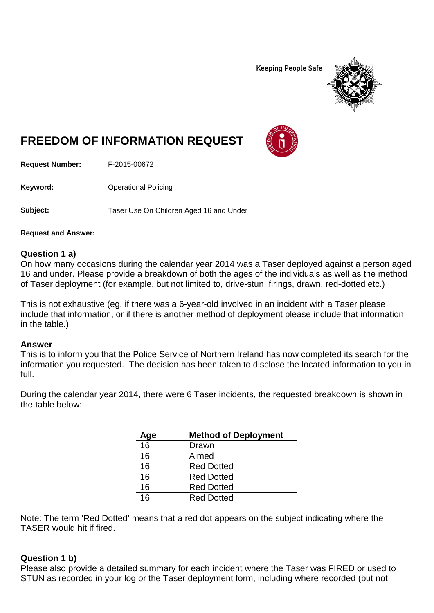**Keeping People Safe** 



# **FREEDOM OF INFORMATION REQUEST**

**Request Number:** F-2015-00672

**Keyword:** Operational Policing

**Subject:** Taser Use On Children Aged 16 and Under

**Request and Answer:**

### **Question 1 a)**

On how many occasions during the calendar year 2014 was a Taser deployed against a person aged 16 and under. Please provide a breakdown of both the ages of the individuals as well as the method of Taser deployment (for example, but not limited to, drive-stun, firings, drawn, red-dotted etc.)

This is not exhaustive (eg. if there was a 6-year-old involved in an incident with a Taser please include that information, or if there is another method of deployment please include that information in the table.)

### **Answer**

This is to inform you that the Police Service of Northern Ireland has now completed its search for the information you requested. The decision has been taken to disclose the located information to you in full.

During the calendar year 2014, there were 6 Taser incidents, the requested breakdown is shown in the table below:

| Age | <b>Method of Deployment</b> |
|-----|-----------------------------|
| 16  | Drawn                       |
| 16  | Aimed                       |
| 16  | <b>Red Dotted</b>           |
| 16  | <b>Red Dotted</b>           |
| 16  | <b>Red Dotted</b>           |
| 16  | <b>Red Dotted</b>           |

Note: The term 'Red Dotted' means that a red dot appears on the subject indicating where the TASER would hit if fired.

### **Question 1 b)**

Please also provide a detailed summary for each incident where the Taser was FIRED or used to STUN as recorded in your log or the Taser deployment form, including where recorded (but not